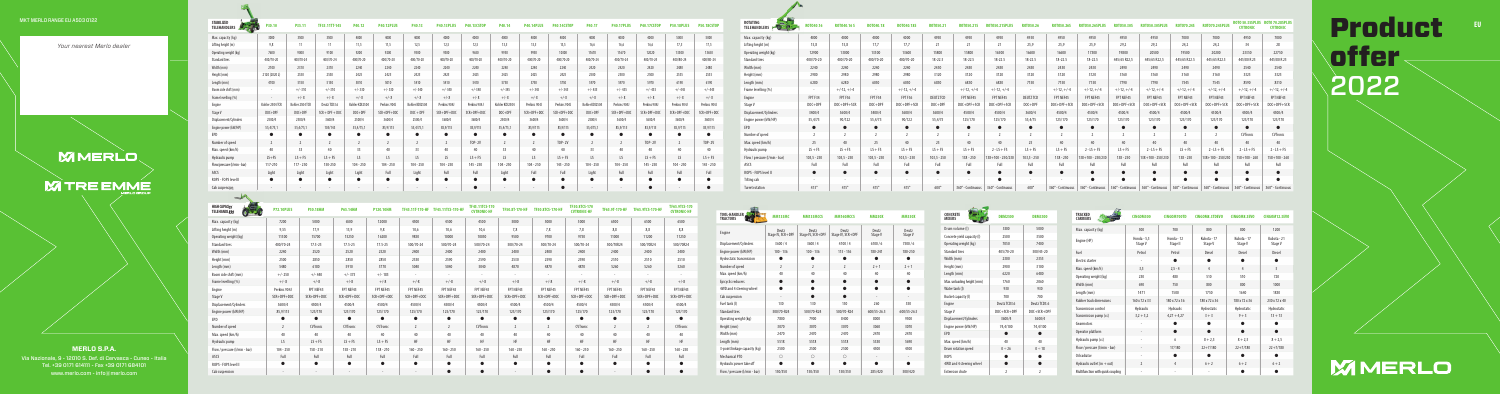**EU**

**MERLO S.P.A.** Via Nazionale, 9 - 12010 S. Def. di Cervasca - Cuneo - Italia

Tel. +39 0171 614111 - Fax +39 0171 684101 www.merlo.com - info@merlo.com

## MKT MERLO RANGE EU A503 0122

*Your nearest Merlo dealer*

**MMERLO** 

**M TRE EMME** 

| <b>CONCRETE</b><br><b>MIXFRS</b> | <b>DRM2500</b>    | <b>DRM3500</b>    |
|----------------------------------|-------------------|-------------------|
| Drum volume (I)                  | 3500              | 5000              |
| Concrete yield capacity (I)      | 2500              | 3500              |
| Operating weight (kg)            | 7050              | 7400              |
| Standard tires                   | 405/70-20         | 500/45-20         |
| Width (mm)                       | 2300              | 2355              |
| Height (mm)                      | 2900              | 3100              |
| Length (mm)                      | 6220              | 6480              |
| Max. unloading height (mm)       | 1760              | 2060              |
| Water tank (I)                   | 930               | 930               |
| Bucket capacity (I)              | 700               | 700               |
| Engine                           | Deutz TCD3.6      | Deutz TCD3.6      |
| Stage V                          | $DOC + SCR + DPF$ | $DOC + SCR + DPF$ |
| Displacement/Cylinders           | 3600/4            | 3600/4            |
| Engine power (kW/HP)             | 74.4/100          | 74,4/100          |
| <b>FPD</b>                       |                   |                   |
| Max. speed (km/h)                | 40                | 40                |
| Drum rotation speed              | $0 \div 26$       | $0 \div 18$       |
| <b>ROPS</b>                      |                   |                   |
| 4WD and 4 steering wheel         |                   |                   |
| <b>Extension chute</b>           | $\overline{2}$    | $\overline{2}$    |
|                                  |                   |                   |

| <b>TOOL-HANDLER</b><br><b>TRACTORS</b> | <b>MM135MC</b>             | MM135MCCS                  | <b>MM160MCCS</b>           | <b>MM250X</b>            | <b>MM350X</b>            |
|----------------------------------------|----------------------------|----------------------------|----------------------------|--------------------------|--------------------------|
| Engine                                 | Deutz<br>Stage IV, SCR+DPF | Deutz<br>Stage IV, SCR+DPF | Deutz<br>Stage IV, SCR+DPF | Deutz<br>Stage V         | Deutz<br>Stage V         |
| Displacement/Cylinders                 | 3600/4                     | 3600/4                     | 4100/4                     | 6100/6                   | 7500/6                   |
| Engine power (kW/HP)                   | $100 - 136$                | $100 - 136$                | $115 - 156$                | 180-241                  | 180-250                  |
| Hydrostatic transmission               |                            |                            |                            | ●                        |                          |
| Number of speed                        | $\overline{2}$             | $\overline{2}$             | $\overline{2}$             | $2 + 1$                  | $2 + 1$                  |
| Max. speed (km/h)                      | 40                         | 40                         | 40                         | 40                       | 40                       |
| Epicyclic reducers                     |                            | $\bullet$                  | $\bullet$                  | $\bullet$                | $\bullet$                |
| 4WD and 4 steering wheel               |                            |                            |                            |                          |                          |
| Cab suspension                         | $\overline{\phantom{a}}$   | $\bullet$                  | $\bullet$                  | $\overline{\phantom{a}}$ | $\overline{\phantom{a}}$ |
| Fuel tank (I)                          | 130                        | 130                        | 130                        | 260                      | 350                      |
| <b>Standard tires</b>                  | 500/70-R24                 | 500/70-R24                 | 500/70-R24                 | 600/55-26.5              | 600/55-26.5              |
| Operating weight (kg)                  | 7800                       | 7900                       | 8400                       | 8000                     | 9500                     |
| Height (mm)                            | 3070                       | 3070                       | 3070                       | 3060                     | 3070                     |
| Width (mm)                             | 2470                       | 2470                       | 2470                       | 2470                     | 2470                     |
| Length (mm)                            | 5518                       | 5518                       | 5518                       | 5330                     | 5690                     |
| 3-point linkage capacity (kg)          | 2500                       | 2500                       | 2500                       | 4500                     | 4500                     |
| Mechanical PTO                         | $\bigcirc$                 | $\bigcirc$                 | $\bigcirc$                 |                          |                          |
| Hydraulic power take off               |                            |                            | ●                          |                          |                          |
| Flow / pressure (I/min - bar)          | 150/350                    | 150/350                    | 150/350                    | 285/420                  | 500/420                  |

## **CARRIERS CINGOM500 CINGOM700TD CINGOM8.3TDEVO CINGOM8.3EVO CINGOM12.3EVO** Max. capacity (kg) 500 700 800 800 1200 Kubota - 17 Stage V Kubota - 17 Stage V Kubota - 21 Stage V 180 x 72 x 36 180 x 72 x 36 230 x 72 x 40  $3+3$  9 + 3 13 + 13  $22+7/180$   $22+7/180$   $22+7/180$

| STABILIZED<br>TELEHANDLERS                                                                                                                                                                                                           |                 |           |  |  |          |               |           |           |               |           |           |               |           | P50.18CST0    | ROTATING<br>TELEHANDLERS PO C         |               |               |      |               |         |               |               |         |              |      |             |              |              |               |          |  |
|--------------------------------------------------------------------------------------------------------------------------------------------------------------------------------------------------------------------------------------|-----------------|-----------|--|--|----------|---------------|-----------|-----------|---------------|-----------|-----------|---------------|-----------|---------------|---------------------------------------|---------------|---------------|------|---------------|---------|---------------|---------------|---------|--------------|------|-------------|--------------|--------------|---------------|----------|--|
| Max. capacity (kg)                                                                                                                                                                                                                   | 3000            |           |  |  |          |               |           |           |               |           |           |               |           | 5000          | Max. capacity (kg)                    | 4000          |               |      |               |         |               |               |         |              |      |             |              |              |               |          |  |
| Lifting height (m)                                                                                                                                                                                                                   | 98              |           |  |  |          |               |           |           |               |           |           | 16.6          |           | 17,5          | Lifting height (m)                    | 15,8          | 15.8          |      |               |         |               |               | 25,9    | 25.9         | 25.9 |             |              | 24,2         | 24,2          |          |  |
| Operating weight (kg)                                                                                                                                                                                                                | 7600            | 9000      |  |  |          |               |           |           | 10300         | 11670     | 11670     | 12020         | 13300     | 13650         | Operating weight (kg)                 | 12900         | 1300          |      |               |         | 15800         | 16500         | 16600   | 16600        |      |             | 20500        | 19500        | 20200         | 23350    |  |
| <b>Standard tires</b>                                                                                                                                                                                                                | 400/70-20       | 400/70-24 |  |  |          |               |           | 400/70-20 | 400/70-20     | 400/70-24 | 400/70-24 | 400/70-24     | 400/80-24 | 400/80-24     | <b>Standard tires</b>                 | 400/70-20     | 400/70-2      |      | 400/70-20     | 18-22.5 | 18-22.5       | 18-22.5       | 18-22.5 | 18-22.5      |      | 445/65 R22. | 445/65 R22.5 | 445/65 R22.5 | 445/65 R22    | 445/80 R |  |
| Width (mm)                                                                                                                                                                                                                           | 2100            | 2310      |  |  |          | 2240          | 2240      | 2240      | 2240          | 2420      | 2420      | 2420          | 2480      | 2480          | Width (mm)                            | 2240          | 2240          | 2240 | 2240          | 2430    | 2430          | 2430          | 2430    | 2430         |      |             | 2490         | 2490         | 2490          | 2540     |  |
| Height (mm)                                                                                                                                                                                                                          | 2120 (2020L)    | 2530      |  |  |          |               |           |           |               | 2500      | 2500      | 2500          | 2535      | 2535          | Height (mm)                           | 2980          | 2980          | 2980 | 2980          | 3120    | 3120          | 3120          | 3120    |              |      |             |              |              | 3160          |          |  |
| Length (mm)                                                                                                                                                                                                                          | 4700            | 5150      |  |  |          |               | 5750      | 5750      | 5750          | 5970      | 5970      | 5970          | 6190      | 6190          | Length (mm)                           | 6280          | 6280          | 6030 | 6030          | 6830    | 6830          | 6830          | 7150    |              |      |             |              | 7545         | 7545          | 8590     |  |
| Boom side shift (mm)                                                                                                                                                                                                                 |                 |           |  |  |          |               |           |           |               |           |           |               |           | $+/- 445$     | Frame levelling (%)                   |               | $+/-12, +/-4$ |      | $+/-12, +/-4$ |         | $+/-12, +/-4$ | $+/-12, +/-4$ |         | $+/-12.+/-4$ |      |             |              |              | $+/-12. +/-4$ |          |  |
| Frame levelling (%)                                                                                                                                                                                                                  |                 | $+/-8$    |  |  |          |               |           |           |               |           |           |               |           | $+/-8$        | Engine                                | FPT F34       |               |      |               |         |               |               |         |              |      |             |              |              |               |          |  |
| Engine                                                                                                                                                                                                                               | Kohler 2504 TCF |           |  |  |          |               |           |           |               |           |           |               |           |               | Stage V                               | $DOC+DP$      |               |      |               |         |               |               |         |              |      |             |              |              |               |          |  |
| Stage V                                                                                                                                                                                                                              |                 |           |  |  |          |               |           |           |               |           |           |               |           | SCR+DPF+D0C   | Displacement/Cylinder                 | 3400/4        |               |      | 3600/4        |         | 4500/4        | 4500/4        |         |              |      |             | 4500/4       | 4500/4       | 4500/4        |          |  |
| Displacement/Cylinders                                                                                                                                                                                                               | 2500/4          |           |  |  |          |               |           |           |               | 2500/4    | 3600/4    | 3600/         | 3600/4    | 3600/4        | Engine power (kW/HP)                  | 55,4/75       | 90/122        |      | 90/122        | 55.4/75 | 125/170       | 125/170       | 55,4/75 |              |      | 125/170     | 125/170      | 125/170      | 125/170       | 125/170  |  |
| Engine power (kW/HP)                                                                                                                                                                                                                 | 55.4/75.1       |           |  |  | 85.9/115 | 85.9/115      | 55.4/75.1 | 85.9/115  | 85,9/115      | 55.4/75.1 | 85.9/115  | 85.9/115      | 85.9/115  | 85,9/115      | EPD                                   | $\bullet$     |               |      |               |         |               |               |         |              |      |             |              |              |               |          |  |
| EPD                                                                                                                                                                                                                                  |                 |           |  |  |          |               |           |           |               |           |           |               |           | $\bullet$     | Number of speed                       |               |               |      |               |         |               |               |         |              |      |             |              |              |               | CVTronic |  |
| Number of speed                                                                                                                                                                                                                      |                 |           |  |  |          | <b>TOP-2V</b> |           |           | <b>TOP-2V</b> |           |           | <b>TOP-2V</b> |           | <b>TOP-2V</b> | Max. speed (km/h)                     | $LS + FS$     |               |      |               |         |               |               |         |              |      |             |              |              |               |          |  |
| Max. speed (km/h)                                                                                                                                                                                                                    |                 |           |  |  |          | $LS + FS$     |           |           | $LS + FS$     |           |           | $LS + FS$     |           | $LS + FS$     | Hydraulic pump                        | $103,5 - 250$ |               |      |               |         |               |               |         |              |      |             |              |              |               |          |  |
| Hydraulic pump                                                                                                                                                                                                                       |                 |           |  |  |          |               |           |           |               |           |           |               |           | $145 - 250$   | Flow / pressure (I/min - bar)<br>ASCS | Full          | Full          |      |               |         |               | Full          | Full    |              |      | Full        | Full         | Full         | Full          |          |  |
| Flow/pressure (I/min - ba.,<br>ASCS                                                                                                                                                                                                  | Light           |           |  |  |          |               | Light     |           |               | Light     |           | Full          |           | Full          | ROPS - FOPS level II                  | $\bullet$     |               |      |               |         |               |               |         |              |      |             |              |              |               |          |  |
| ROPS - FOPS level II                                                                                                                                                                                                                 |                 |           |  |  |          |               |           |           |               |           |           |               |           |               | Tilting cab                           |               |               |      |               |         |               |               |         |              |      |             |              |              |               |          |  |
| Cab suspension                                                                                                                                                                                                                       |                 |           |  |  |          |               |           |           |               |           |           |               |           | $\bullet$     | Turret rotation                       | $415^\circ$   |               |      |               |         |               |               |         |              |      |             |              |              |               |          |  |
| <b>Contract Contract Contract Contract Contract Contract Contract Contract Contract Contract Contract Contract Contract Contract Contract Contract Contract Contract Contract Contract Contract Contract Contract Contract Contr</b> |                 |           |  |  |          |               |           |           |               |           |           |               |           |               |                                       |               |               |      |               |         |               |               |         |              |      |             |              |              |               |          |  |

**Contract Contract Contract Contract Contract Contract Contract Contract Contract Contract Contract Contract Contract Contract Contract Contract Contract Contract Contract Contract Contract Contract Contract Contract Contr** 

 $\frac{1}{2}$ 

| <b>TRACKED</b><br><b>CARRIERS</b> | <b>CINGOM500</b>         | <b>CINGOM700TD</b>     | <b>CINGOM8.3TDEVO</b>  | <b>CINGOM8.3EVO</b>    | <b>CINGOM12.31</b>     |
|-----------------------------------|--------------------------|------------------------|------------------------|------------------------|------------------------|
| Max. capacity (kg)                | 500                      | 700                    | 800                    | 800                    | 1200                   |
| Engine (HP)                       | Honda - $5,5$<br>Stage V | Honda - 12<br>Stage II | Kubota - 17<br>Stage V | Kubota - 17<br>Stage V | Kubota - 21<br>Stage V |
| Fuel                              | Petrol                   | Petrol                 | Diesel                 | Diesel                 | Diesel                 |
| <b>Electric starter</b>           |                          |                        |                        |                        |                        |
| Max. speed (km/h)                 | 3,5                      | $2,5 - 4$              | 4                      | 4                      | 5                      |
| Operating weight (kg)             | 230                      | 480                    | 510                    | 510                    | 720                    |
| Width (mm)                        | 690                      | 750                    | 800                    | 800                    | 1000                   |
| Length (mm)                       | 1471                     | 1500                   | 1750                   | 1640                   | 1830                   |
| <b>Rubber track dimensions</b>    | 160 x 72 x 33            | 180 x 72 x 36          | 180 x 72 x 36          | 180 x 72 x 36          | 230 x 72 x 4           |
| <b>Transmission control</b>       | Hydraulic                | Hydraulic              | Hydrostatic            | Hydrostatic            | Hydrostatic            |
| Transmission pump (cc)            | $3,2+3,2$                | $4,27 + 4,27$          | $3 + 3$                | $9 + 3$                | $13 + 13$              |
| Gearmotors                        |                          |                        |                        |                        |                        |
| Operator platform                 | $\overline{\phantom{a}}$ | ●                      | ●                      | $\bullet$              |                        |
| Hydraulic pump (cc)               |                          | 6                      | $8 + 2.5$              | $8 + 2.5$              | $8 + 2.5$              |
| Flow / pressure (l/min - bar)     |                          | 17/180                 | $22 + 7/180$           | $22 + 7/180$           | $22 + 7/180$           |
| Oil radiator                      |                          |                        |                        |                        |                        |
| Hydraulic outlet (in $+$ out)     | $\overline{2}$           | $\overline{4}$         | $6 + 2$                | $6 + 2$                | $6 + 2$                |
| Multifunction with quick coupling |                          |                        |                        |                        |                        |
|                                   |                          |                        |                        |                        |                        |

| <b>HIGH CAPACITY</b><br>690<br><b>TELEHANDLERS</b> | <b>P72.10PLUS</b> | <b>P50.18HM</b> | <b>P65.14HM</b> | P120.10HM   |                | TF45.11T-170-HF TF45.11TCS-170-HF | TF45.11TCS-170<br><b>CVTRONIC-HF</b> | TF50.8T-170-HF | TF50.8TCS-170-HF         | TF50.8TCS-170<br><b>CVTRONIC-HF</b> | TF65.9T-170-HF | TF65.9TCS-170-HF | TF65.9TCS-170<br><b>CVTRONIC-HF</b> |
|----------------------------------------------------|-------------------|-----------------|-----------------|-------------|----------------|-----------------------------------|--------------------------------------|----------------|--------------------------|-------------------------------------|----------------|------------------|-------------------------------------|
| Max. capacity (kg)                                 | 7200              | 5000            | 6500            | 12000       | 4500           | 4500                              | 4500                                 | 5000           | 5000                     | 5000                                | 6500           | 6500             | 6500                                |
| Lifting height (m)                                 | 9,55              | 17,9            | 13,9            | 9,8         | 10,6           | 10,6                              | 10,6                                 | 7,8            | 7,8                      | 7,8                                 | 8,8            | 8,8              | 8,8                                 |
| Operating weight (kg)                              | 11300             | 15700           | 15250           | 16200       | 9850           | 10000                             | 10050                                | 9500           | 9700                     | 9750                                | 11000          | 11200            | 11250                               |
| <b>Standard tires</b>                              | 400/70-24         | $17.5 - 25$     | $17.5 - 25$     | $17.5 - 25$ | 500/70-24      | 500/70-24                         | 500/70-24                            | 500/70-24      | 500/70-24                | 500/70-24                           | 500/70R24      | 500/70R24        | 500/70R24                           |
| Width (mm)                                         | 2240              | 2520            | 2520            | 2520        | 2400           | 2400                              | 2400                                 | 2400           | 2400                     | 2400                                | 2400           | 2400             | 2400                                |
| Height (mm)                                        | 2500              | 2850            | 2850            | 2850        | 2530           | 2590                              | 2590                                 | 2530           | 2590                     | 2590                                | 2510           | 2510             | 2510                                |
| Length (mm)                                        | 5480              | 6180            | 5910            | 5770        | 5040           | 5040                              | 5040                                 | 4870           | 4870                     | 4870                                | 5260           | 5260             | 5260                                |
| Boom side shift (mm)                               | $+/- 250$         | $+/- 440$       | $+/- 375$       | $+/- 185$   |                |                                   | $\sim$                               |                | $\overline{\phantom{a}}$ |                                     | $\blacksquare$ |                  |                                     |
| Frame levelling (%)                                | $+/- 8$           | $+/-8$          | $+/-8$          | $+/-8$      | $+/-8$         | $+/-8$                            | $+/-8$                               | $+/-8$         | $+/-8$                   | $+/-8$                              | $+/-8$         | $+/-8$           | $+/-8$                              |
| Engine                                             | Perkins 904J      | FPT NEF45       | FPT NEF45       | FPT NEF45   | FPT NEF45      | FPT NEF45                         | FPT NEF45                            | FPT NEF45      | FPT NEF45                | FPT NEF45                           | FPT NEF45      | FPT NEF45        | FPT NEF45                           |
| Stage V                                            | SCR+DPF+DOC       | SCR+DPF+DOC     | SCR+DPF+DOC     | SCR+DPF+DOC | SCR+DPF+DOC    | SCR+DPF+DOC                       | SCR+DPF+DOC                          | SCR+DPF+DOC    | SCR+DPF+DOC              | SCR+DPF+DOC                         | SCR+DPF+DOC    | SCR+DPF+DOC      | SCR+DPF+DOC                         |
| Displacement/Cylinders                             | 3600/4            | 4500/4          | 4500/4          | 4500/4      | 4500/4         | 4500/4                            | 4500/4                               | 4500/4         | 4500/4                   | 4500/4                              | 4500/4         | 4500/4           | 4500/4                              |
| Engine power (kW/HP)                               | 85,9/115          | 125/170         | 125/170         | 125/170     | 125/170        | 125/170                           | 125/170                              | 125/170        | 125/170                  | 125/170                             | 125/170        | 125/170          | 125/170                             |
| EPD                                                | $\bullet$         | $\bullet$       | $\bullet$       | $\bullet$   | $\bullet$      |                                   | $\bullet$                            |                | $\bullet$                | $\bullet$                           | $\bullet$      | $\bullet$        | $\bullet$                           |
| Number of speed                                    | <sup>2</sup>      | <b>CVTronic</b> | <b>CVTronic</b> | CVTronic    | $\overline{2}$ | $\overline{2}$                    | <b>CVTronic</b>                      | $\overline{2}$ | 2                        | <b>CVTronic</b>                     | $\overline{2}$ | $\overline{2}$   | CVTronic                            |
| Max. speed (km/h)                                  | 40                | 40              | 40              | 40          | 40             | 40                                | 40                                   | 40             | 40                       | 40                                  | 40             | 40               | 40                                  |
| Hydraulic pump                                     | LS                | $LS + FS$       | $LS + FS$       | $LS + FS$   | HF             | HF                                | HF                                   | HF             | HF                       | HF                                  | HF             | HF               | HF                                  |
| Flow / pressure (l/min - bar)                      | $104 - 250$       | $158 - 210$     | $158 - 210$     | $158 - 210$ | $160 - 250$    | $160 - 250$                       | $160 - 250$                          | $160 - 250$    | $160 - 250$              | $160 - 250$                         | $160 - 250$    | $160 - 250$      | $160 - 250$                         |
| ASCS                                               | Full              | Full            | Full            | Full        | Full           | Full                              | Full                                 | Full           | Full                     | Full                                | Full           | Full             | Full                                |
| ROPS - FOPS level II                               |                   | $\bullet$       | $\bullet$       | $\bullet$   | $\bullet$      |                                   | $\bullet$                            |                | $\bullet$                | $\bullet$                           | $\bullet$      | $\bullet$        | $\bullet$                           |
| Cab suspension                                     |                   |                 |                 |             |                |                                   | $\bullet$                            |                | $\bullet$                | $\bullet$                           |                | $\bullet$        | $\bullet$                           |

## Product offer 2022

## **MMERLO**